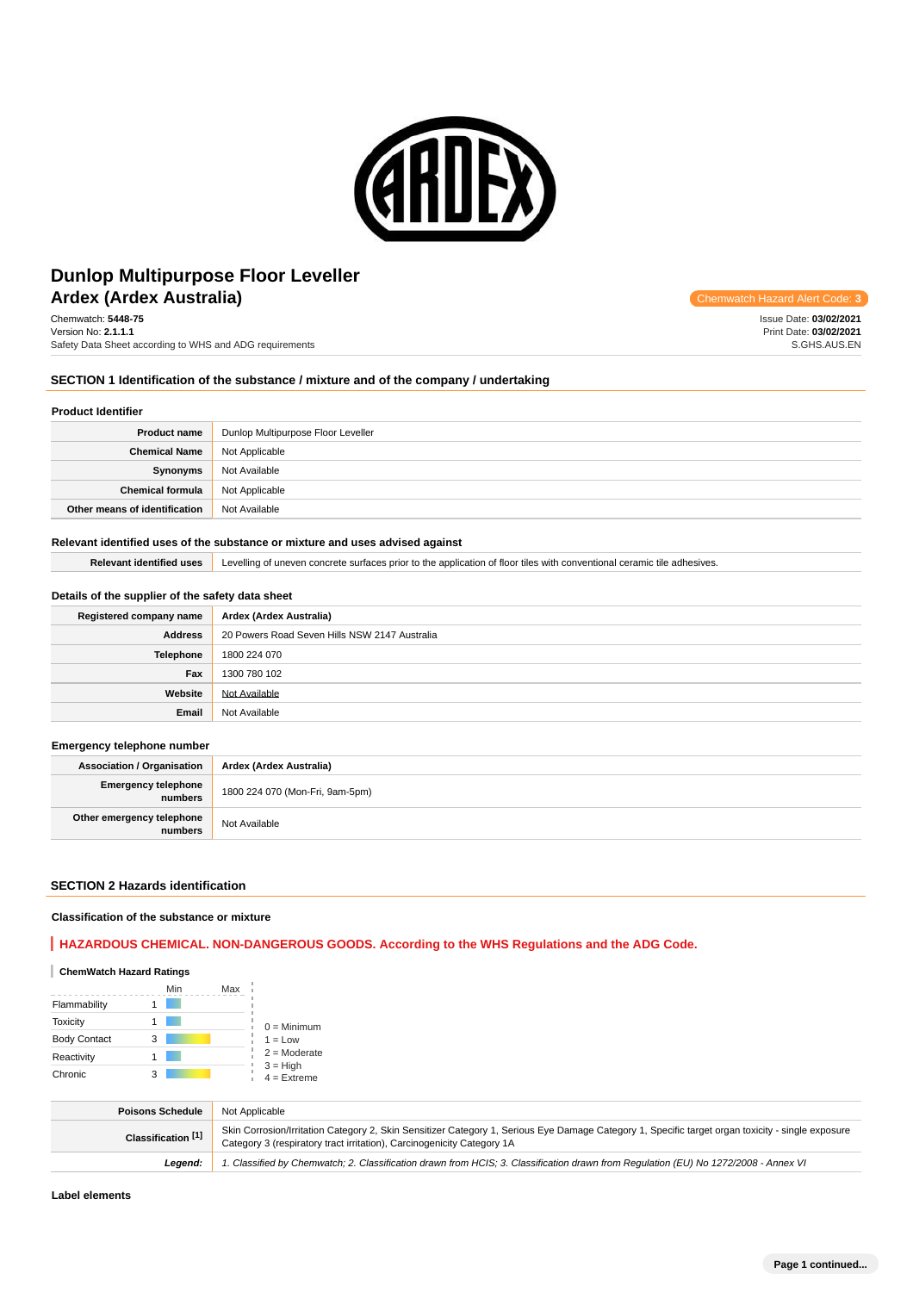

# **Ardex (Ardex Australia) Chemwatch Hazard Alert** Communication **Construction Construction Accord Alert** Construction **Construction** Construction **Construction** Construction **Construction** Construction **Construction** Cons **Dunlop Multipurpose Floor Leveller**

Chemwatch: **5448-75** Version No: **2.1.1.1** Safety Data Sheet according to WHS and ADG requirements

Issue Date: **03/02/2021** Print Date: **03/02/2021** S.GHS.AUS.EN

### **SECTION 1 Identification of the substance / mixture and of the company / undertaking**

#### **Product Identifier**

| <b>Product name</b>           | Dunlop Multipurpose Floor Leveller |
|-------------------------------|------------------------------------|
| <b>Chemical Name</b>          | Not Applicable                     |
| Synonyms                      | Not Available                      |
| <b>Chemical formula</b>       | Not Applicable                     |
| Other means of identification | Not Available                      |

#### **Relevant identified uses of the substance or mixture and uses advised against**

**Relevant identified uses** Levelling of uneven concrete surfaces prior to the application of floor tiles with conventional ceramic tile adhesives.

#### **Details of the supplier of the safety data sheet**

| Registered company name | Ardex (Ardex Australia)                       |
|-------------------------|-----------------------------------------------|
| <b>Address</b>          | 20 Powers Road Seven Hills NSW 2147 Australia |
| Telephone               | 1800 224 070                                  |
| Fax                     | 1300 780 102                                  |
| Website                 | Not Available                                 |
| Email                   | Not Available                                 |

#### **Emergency telephone number**

| <b>Association / Organisation</b>     | Ardex (Ardex Australia)         |
|---------------------------------------|---------------------------------|
| <b>Emergency telephone</b><br>numbers | 1800 224 070 (Mon-Fri, 9am-5pm) |
| Other emergency telephone<br>numbers. | Not Available                   |

#### **SECTION 2 Hazards identification**

#### **Classification of the substance or mixture**

### **HAZARDOUS CHEMICAL. NON-DANGEROUS GOODS. According to the WHS Regulations and the ADG Code.**

### **ChemWatch Hazard Ratings**

|                     | Min | Max |                             |
|---------------------|-----|-----|-----------------------------|
| Flammability        |     |     |                             |
| <b>Toxicity</b>     |     |     | $0 =$ Minimum               |
| <b>Body Contact</b> | 3   |     | $1 = Low$                   |
| Reactivity          |     |     | $2 =$ Moderate              |
| Chronic             |     |     | $3 = High$<br>$4 =$ Extreme |

| <b>Poisons Schedule</b> | Not Applicable                                                                                                                                                                                                              |
|-------------------------|-----------------------------------------------------------------------------------------------------------------------------------------------------------------------------------------------------------------------------|
| Classification [1]      | Skin Corrosion/Irritation Category 2, Skin Sensitizer Category 1, Serious Eye Damage Category 1, Specific target organ toxicity - single exposure<br>Category 3 (respiratory tract irritation), Carcinogenicity Category 1A |
| Leaend:                 | 1. Classified by Chemwatch; 2. Classification drawn from HCIS; 3. Classification drawn from Regulation (EU) No 1272/2008 - Annex VI                                                                                         |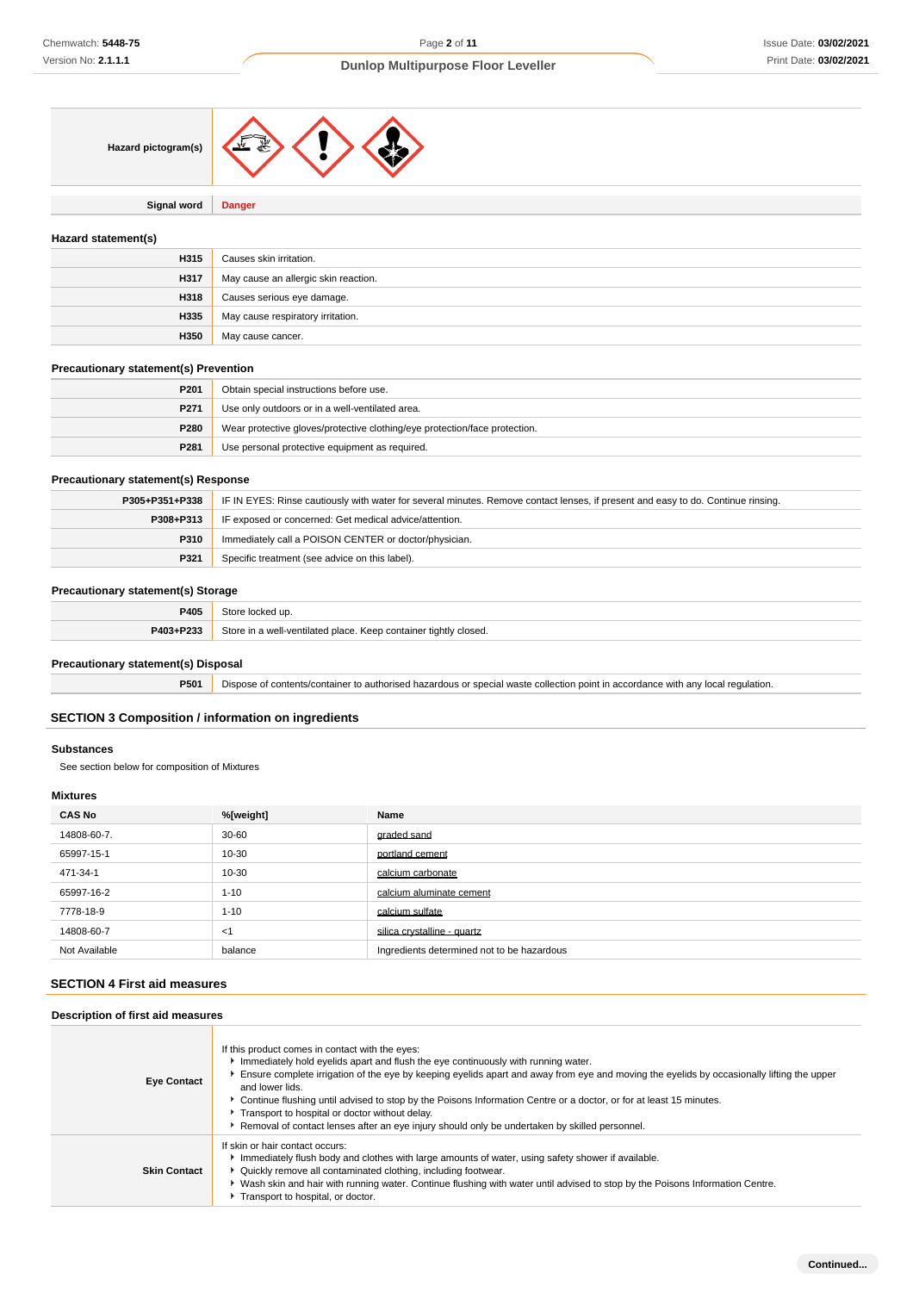

**Signal word Danger**

#### **Hazard statement(s)**

| H315 | Causes skin irritation.              |
|------|--------------------------------------|
| H317 | May cause an allergic skin reaction. |
| H318 | Causes serious eye damage.           |
| H335 | May cause respiratory irritation.    |
| H350 | May cause cancer.                    |

#### **Precautionary statement(s) Prevention**

| P201             | Obtain special instructions before use.                                    |
|------------------|----------------------------------------------------------------------------|
| P <sub>271</sub> | Use only outdoors or in a well-ventilated area.                            |
| P280             | Wear protective gloves/protective clothing/eye protection/face protection. |
| P281             | Use personal protective equipment as required.                             |

#### **Precautionary statement(s) Response**

| P305+P351+P338 | IF IN EYES: Rinse cautiously with water for several minutes. Remove contact lenses, if present and easy to do. Continue rinsing. |
|----------------|----------------------------------------------------------------------------------------------------------------------------------|
| P308+P313      | IF exposed or concerned: Get medical advice/attention.                                                                           |
| <b>P310</b>    | Immediately call a POISON CENTER or doctor/physician.                                                                            |
| P321           | Specific treatment (see advice on this label).                                                                                   |

### **Precautionary statement(s) Storage**

| יחום<br><u>r 400</u> |                                                                      |
|----------------------|----------------------------------------------------------------------|
| <b>DA02.D222</b>     | ⊾∩r∆<br>Keep container tightly closed.<br>well-ventilated place<br>. |

### **Precautionary statement(s) Disposal**

**P501** Dispose of contents/container to authorised hazardous or special waste collection point in accordance with any local regulation.

#### **SECTION 3 Composition / information on ingredients**

#### **Substances**

See section below for composition of Mixtures

#### **Mixtures**

| <b>CAS No</b> | %[weight] | Name                                       |
|---------------|-----------|--------------------------------------------|
| 14808-60-7.   | $30 - 60$ | graded sand                                |
| 65997-15-1    | 10-30     | portland cement                            |
| 471-34-1      | 10-30     | calcium carbonate                          |
| 65997-16-2    | $1 - 10$  | calcium aluminate cement                   |
| 7778-18-9     | $1 - 10$  | calcium sulfate                            |
| 14808-60-7    | $<$ 1     | silica crystalline - quartz                |
| Not Available | balance   | Ingredients determined not to be hazardous |

## **SECTION 4 First aid measures**

### **Description of first aid measures**

| <b>Eye Contact</b>  | If this product comes in contact with the eyes:<br>Immediately hold eyelids apart and flush the eye continuously with running water.<br>Ensure complete irrigation of the eye by keeping eyelids apart and away from eye and moving the eyelids by occasionally lifting the upper<br>and lower lids.<br>▶ Continue flushing until advised to stop by the Poisons Information Centre or a doctor, or for at least 15 minutes.<br>Transport to hospital or doctor without delay.<br>Removal of contact lenses after an eye injury should only be undertaken by skilled personnel. |
|---------------------|---------------------------------------------------------------------------------------------------------------------------------------------------------------------------------------------------------------------------------------------------------------------------------------------------------------------------------------------------------------------------------------------------------------------------------------------------------------------------------------------------------------------------------------------------------------------------------|
| <b>Skin Contact</b> | If skin or hair contact occurs:<br>Immediately flush body and clothes with large amounts of water, using safety shower if available.<br>• Quickly remove all contaminated clothing, including footwear.<br>▶ Wash skin and hair with running water. Continue flushing with water until advised to stop by the Poisons Information Centre.<br>Transport to hospital, or doctor.                                                                                                                                                                                                  |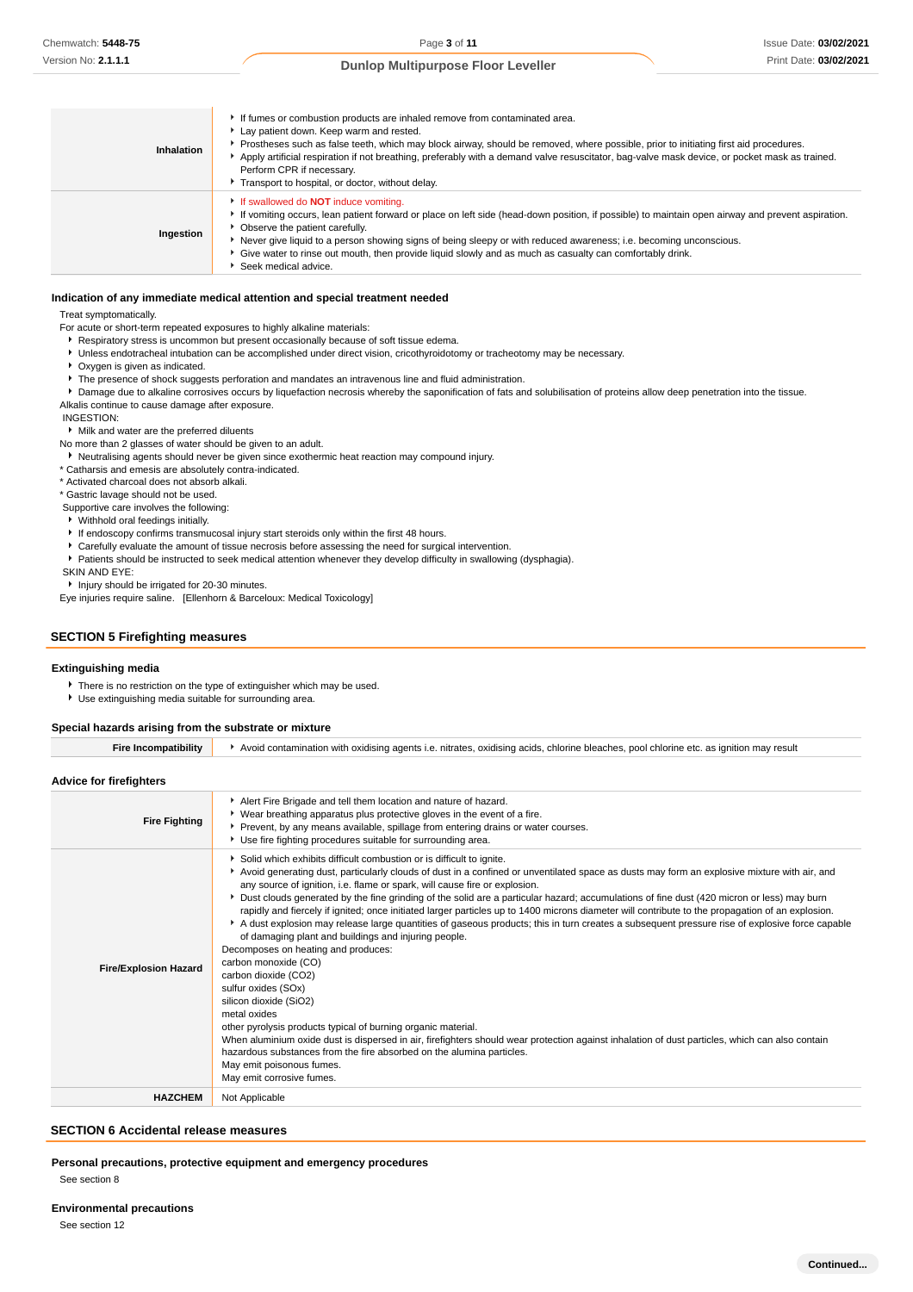| Inhalation | If fumes or combustion products are inhaled remove from contaminated area.<br>Lay patient down. Keep warm and rested.<br>▶ Prostheses such as false teeth, which may block airway, should be removed, where possible, prior to initiating first aid procedures.<br>Apply artificial respiration if not breathing, preferably with a demand valve resuscitator, bag-valve mask device, or pocket mask as trained.<br>Perform CPR if necessary.<br>Transport to hospital, or doctor, without delay. |
|------------|---------------------------------------------------------------------------------------------------------------------------------------------------------------------------------------------------------------------------------------------------------------------------------------------------------------------------------------------------------------------------------------------------------------------------------------------------------------------------------------------------|
| Ingestion  | If swallowed do <b>NOT</b> induce vomiting.<br>If vomiting occurs, lean patient forward or place on left side (head-down position, if possible) to maintain open airway and prevent aspiration.<br>• Observe the patient carefully.<br>Never give liquid to a person showing signs of being sleepy or with reduced awareness; i.e. becoming unconscious.<br>• Give water to rinse out mouth, then provide liquid slowly and as much as casualty can comfortably drink.<br>Seek medical advice.    |

#### **Indication of any immediate medical attention and special treatment needed**

Treat symptomatically.

For acute or short-term repeated exposures to highly alkaline materials:

- Respiratory stress is uncommon but present occasionally because of soft tissue edema.
- Unless endotracheal intubation can be accomplished under direct vision, cricothyroidotomy or tracheotomy may be necessary.
- Oxygen is given as indicated.
- **F** The presence of shock suggests perforation and mandates an intravenous line and fluid administration.

**P** Damage due to alkaline corrosives occurs by liquefaction necrosis whereby the saponification of fats and solubilisation of proteins allow deep penetration into the tissue. Alkalis continue to cause damage after exposure.

INGESTION:

Milk and water are the preferred diluents

No more than 2 glasses of water should be given to an adult.

Neutralising agents should never be given since exothermic heat reaction may compound injury.

\* Catharsis and emesis are absolutely contra-indicated.

\* Activated charcoal does not absorb alkali.

\* Gastric lavage should not be used.

 Supportive care involves the following: Withhold oral feedings initially.

If endoscopy confirms transmucosal injury start steroids only within the first 48 hours.

- Carefully evaluate the amount of tissue necrosis before assessing the need for surgical intervention.
- Patients should be instructed to seek medical attention whenever they develop difficulty in swallowing (dysphagia).

SKIN AND EYE:

**I** Injury should be irrigated for 20-30 minutes.

Eye injuries require saline. [Ellenhorn & Barceloux: Medical Toxicology]

### **SECTION 5 Firefighting measures**

#### **Extinguishing media**

There is no restriction on the type of extinguisher which may be used.

Use extinguishing media suitable for surrounding area.

#### **Special hazards arising from the substrate or mixture**

| <b>Fire Incompatibility</b>    | Avoid contamination with oxidising agents i.e. nitrates, oxidising acids, chlorine bleaches, pool chlorine etc. as ignition may result                                                                                                                                                                                                                                                                                                                                                                                                                                                                                                                                                                                                                                                                                                                                                                                                                                                                                                                                                                                                                                                                                                                                                                                         |
|--------------------------------|--------------------------------------------------------------------------------------------------------------------------------------------------------------------------------------------------------------------------------------------------------------------------------------------------------------------------------------------------------------------------------------------------------------------------------------------------------------------------------------------------------------------------------------------------------------------------------------------------------------------------------------------------------------------------------------------------------------------------------------------------------------------------------------------------------------------------------------------------------------------------------------------------------------------------------------------------------------------------------------------------------------------------------------------------------------------------------------------------------------------------------------------------------------------------------------------------------------------------------------------------------------------------------------------------------------------------------|
| <b>Advice for firefighters</b> |                                                                                                                                                                                                                                                                                                                                                                                                                                                                                                                                                                                                                                                                                                                                                                                                                                                                                                                                                                                                                                                                                                                                                                                                                                                                                                                                |
| <b>Fire Fighting</b>           | Alert Fire Brigade and tell them location and nature of hazard.<br>• Wear breathing apparatus plus protective gloves in the event of a fire.<br>Prevent, by any means available, spillage from entering drains or water courses.<br>Use fire fighting procedures suitable for surrounding area.                                                                                                                                                                                                                                                                                                                                                                                                                                                                                                                                                                                                                                                                                                                                                                                                                                                                                                                                                                                                                                |
| <b>Fire/Explosion Hazard</b>   | Solid which exhibits difficult combustion or is difficult to ignite.<br>▶ Avoid generating dust, particularly clouds of dust in a confined or unventilated space as dusts may form an explosive mixture with air, and<br>any source of ignition, i.e. flame or spark, will cause fire or explosion.<br>> Dust clouds generated by the fine grinding of the solid are a particular hazard; accumulations of fine dust (420 micron or less) may burn<br>rapidly and fiercely if ignited; once initiated larger particles up to 1400 microns diameter will contribute to the propagation of an explosion.<br>A dust explosion may release large quantities of gaseous products; this in turn creates a subsequent pressure rise of explosive force capable<br>of damaging plant and buildings and injuring people.<br>Decomposes on heating and produces:<br>carbon monoxide (CO)<br>carbon dioxide (CO2)<br>sulfur oxides (SOx)<br>silicon dioxide (SiO2)<br>metal oxides<br>other pyrolysis products typical of burning organic material.<br>When aluminium oxide dust is dispersed in air, firefighters should wear protection against inhalation of dust particles, which can also contain<br>hazardous substances from the fire absorbed on the alumina particles.<br>May emit poisonous fumes.<br>May emit corrosive fumes. |
| <b>HAZCHEM</b>                 | Not Applicable                                                                                                                                                                                                                                                                                                                                                                                                                                                                                                                                                                                                                                                                                                                                                                                                                                                                                                                                                                                                                                                                                                                                                                                                                                                                                                                 |

#### **SECTION 6 Accidental release measures**

**Personal precautions, protective equipment and emergency procedures**

See section 12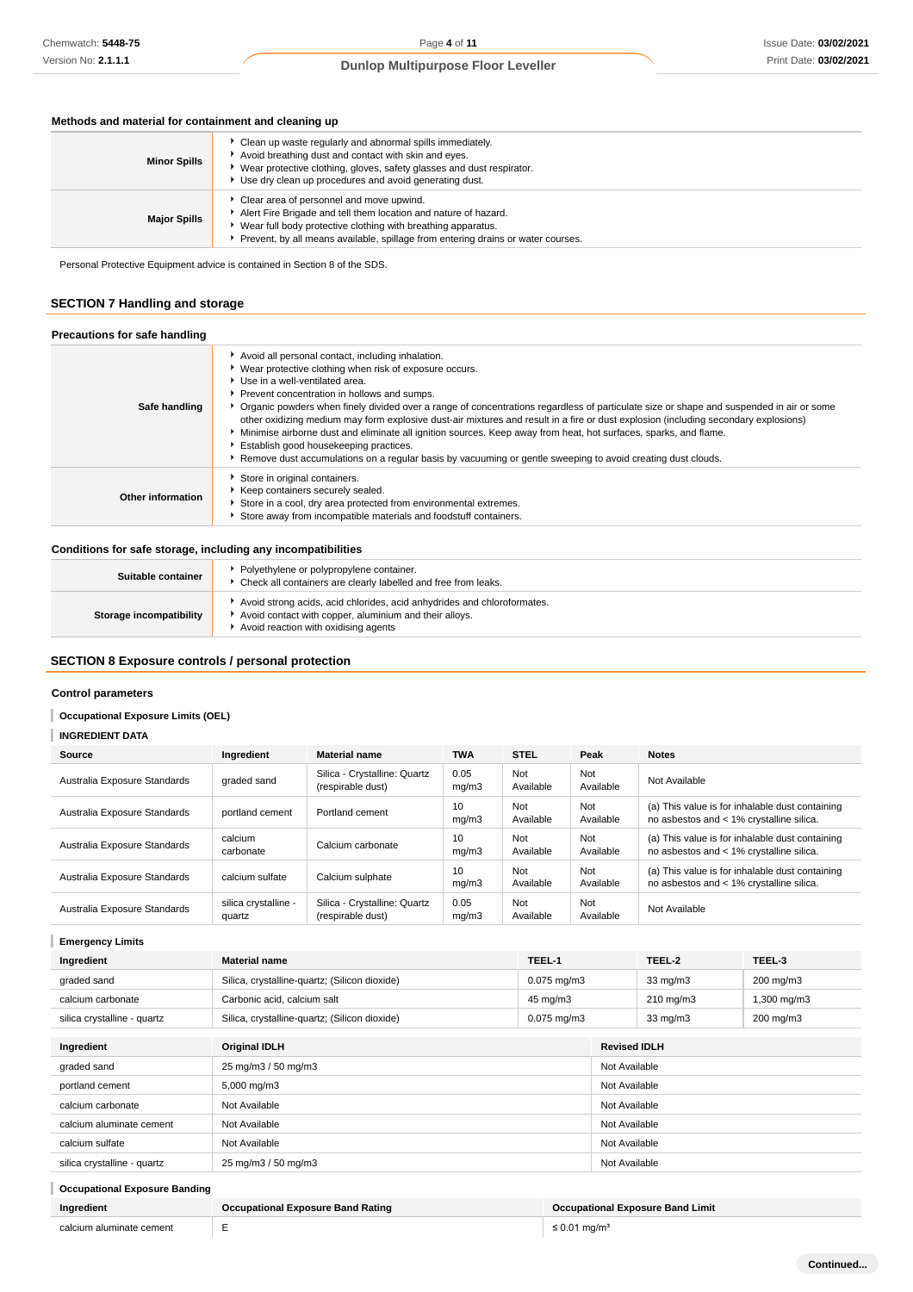#### **Methods and material for containment and cleaning up**

| <b>Minor Spills</b> | • Clean up waste regularly and abnormal spills immediately.<br>Avoid breathing dust and contact with skin and eyes.<br>Wear protective clothing, gloves, safety glasses and dust respirator.<br>Use dry clean up procedures and avoid generating dust.          |
|---------------------|-----------------------------------------------------------------------------------------------------------------------------------------------------------------------------------------------------------------------------------------------------------------|
| <b>Major Spills</b> | Clear area of personnel and move upwind.<br>Alert Fire Brigade and tell them location and nature of hazard.<br>Wear full body protective clothing with breathing apparatus.<br>Prevent, by all means available, spillage from entering drains or water courses. |

Personal Protective Equipment advice is contained in Section 8 of the SDS.

#### **SECTION 7 Handling and storage**

#### **Precautions for safe handling Safe handling** Avoid all personal contact, including inhalation. Wear protective clothing when risk of exposure occurs. Use in a well-ventilated area. **Prevent concentration in hollows and sumps.** Organic powders when finely divided over a range of concentrations regardless of particulate size or shape and suspended in air or some other oxidizing medium may form explosive dust-air mixtures and result in a fire or dust explosion (including secondary explosions) Minimise airborne dust and eliminate all ignition sources. Keep away from heat, hot surfaces, sparks, and flame. Establish good housekeeping practices. **F** Remove dust accumulations on a regular basis by vacuuming or gentle sweeping to avoid creating dust clouds. **Other information** Store in original containers. Keep containers securely sealed. Store in a cool, dry area protected from environmental extremes. Store away from incompatible materials and foodstuff containers.

#### **Conditions for safe storage, including any incompatibilities**

| Suitable container      | Polyethylene or polypropylene container.<br>Check all containers are clearly labelled and free from leaks.                                                                |
|-------------------------|---------------------------------------------------------------------------------------------------------------------------------------------------------------------------|
| Storage incompatibility | Avoid strong acids, acid chlorides, acid anhydrides and chloroformates.<br>Avoid contact with copper, aluminium and their alloys.<br>Avoid reaction with oxidising agents |

### **SECTION 8 Exposure controls / personal protection**

#### **Control parameters**

#### **Occupational Exposure Limits (OEL)**

#### **INGREDIENT DATA** I

| Source                       | Ingredient                     | <b>Material name</b>                              | <b>TWA</b>    | <b>STEL</b>      | Peak             | <b>Notes</b>                                                                                |  |
|------------------------------|--------------------------------|---------------------------------------------------|---------------|------------------|------------------|---------------------------------------------------------------------------------------------|--|
| Australia Exposure Standards | graded sand                    | Silica - Crystalline: Quartz<br>(respirable dust) | 0.05<br>mq/m3 | Not<br>Available | Not<br>Available | Not Available                                                                               |  |
| Australia Exposure Standards | portland cement                | Portland cement                                   | 10<br>mq/m3   | Not<br>Available | Not<br>Available | (a) This value is for inhalable dust containing<br>no asbestos and < 1% crystalline silica. |  |
| Australia Exposure Standards | calcium<br>carbonate           | Calcium carbonate                                 | 10<br>mq/m3   | Not<br>Available | Not<br>Available | (a) This value is for inhalable dust containing<br>no asbestos and < 1% crystalline silica. |  |
| Australia Exposure Standards | calcium sulfate                | Calcium sulphate                                  | 10<br>mq/m3   | Not<br>Available | Not<br>Available | (a) This value is for inhalable dust containing<br>no asbestos and < 1% crystalline silica. |  |
| Australia Exposure Standards | silica crystalline -<br>quartz | Silica - Crystalline: Quartz<br>(respirable dust) | 0.05<br>mq/m3 | Not<br>Available | Not<br>Available | Not Available                                                                               |  |

| <b>Emergency Limits</b>              |                                               |                  |                     |                                         |             |
|--------------------------------------|-----------------------------------------------|------------------|---------------------|-----------------------------------------|-------------|
| Ingredient                           | <b>Material name</b>                          | TEEL-1           |                     | TEEL-2                                  | TEEL-3      |
| graded sand                          | Silica, crystalline-quartz; (Silicon dioxide) | $0.075$ mg/m $3$ |                     | $33 \text{ mg/m}$                       | 200 mg/m3   |
| calcium carbonate                    | Carbonic acid, calcium salt                   | 45 mg/m3         |                     | $210 \text{ mg/m}$                      | 1,300 mg/m3 |
| silica crystalline - quartz          | Silica, crystalline-quartz; (Silicon dioxide) | $0.075$ mg/m $3$ |                     | $33 \text{ mg/m}$                       | 200 mg/m3   |
| Ingredient                           | <b>Original IDLH</b>                          |                  | <b>Revised IDLH</b> |                                         |             |
| graded sand                          | 25 mg/m3 / 50 mg/m3                           |                  |                     | Not Available                           |             |
| portland cement                      | 5,000 mg/m3                                   |                  | Not Available       |                                         |             |
| calcium carbonate                    | Not Available<br>Not Available                |                  |                     |                                         |             |
| calcium aluminate cement             | Not Available<br>Not Available                |                  |                     |                                         |             |
| calcium sulfate                      | Not Available<br>Not Available                |                  |                     |                                         |             |
| silica crystalline - quartz          | 25 mg/m3 / 50 mg/m3<br>Not Available          |                  |                     |                                         |             |
| <b>Occupational Exposure Banding</b> |                                               |                  |                     |                                         |             |
| Ingredient                           | <b>Occupational Exposure Band Rating</b>      |                  |                     | <b>Occupational Exposure Band Limit</b> |             |
| calcium aluminate cement             | E<br>$\leq$ 0.01 mg/m <sup>3</sup>            |                  |                     |                                         |             |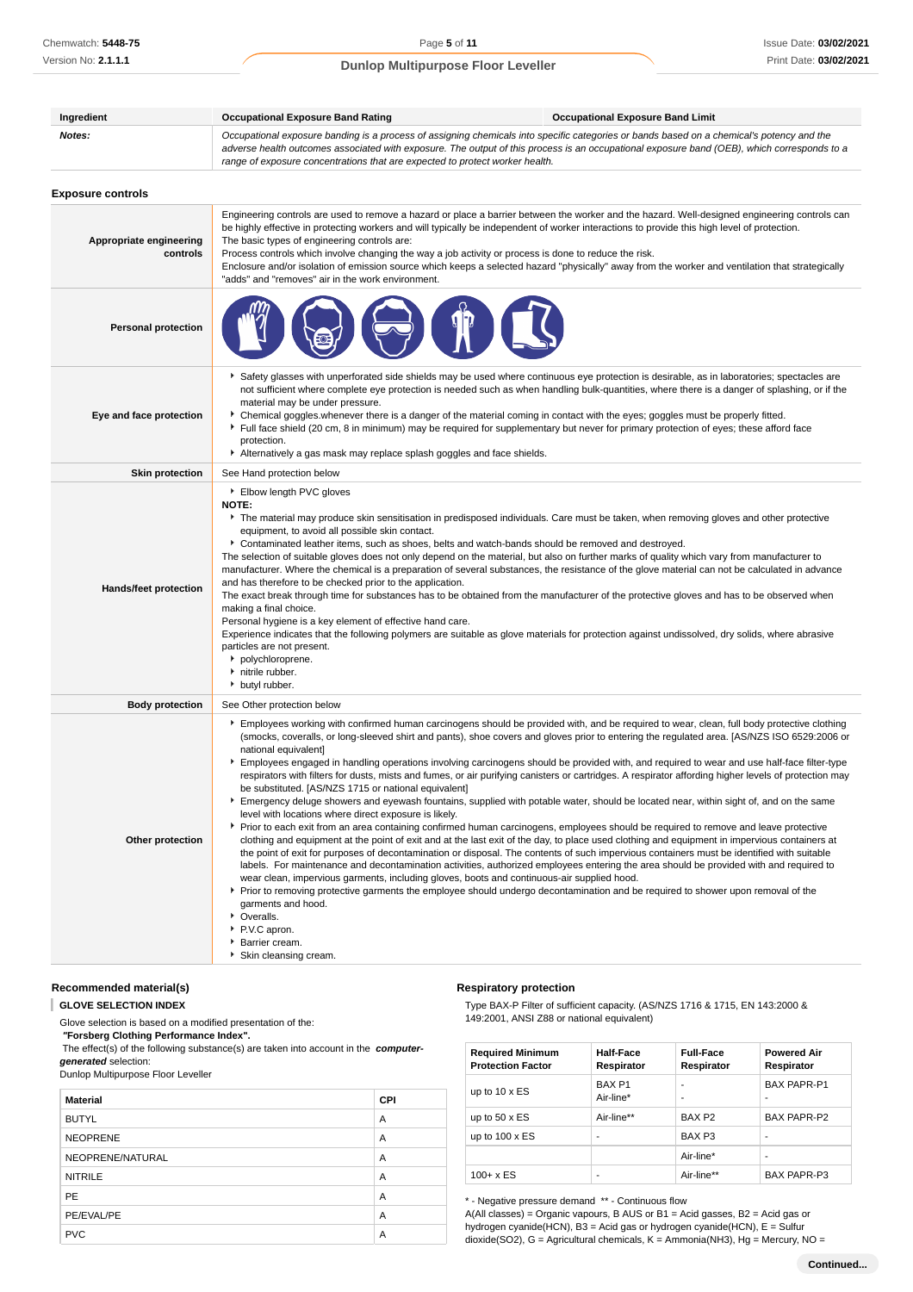| Ingredient                          | <b>Occupational Exposure Band Rating</b><br><b>Occupational Exposure Band Limit</b>                                                                                                                                                                                                                                                                                                                                                                                                                                                                                                                                                                                                                                                                                                                                                                                                                                                                                                                                                                                                                                                                                                                                                                                                                                                                                                                                                                                                              |                                                                                                                                                                                                                                                                                                      |  |  |  |
|-------------------------------------|--------------------------------------------------------------------------------------------------------------------------------------------------------------------------------------------------------------------------------------------------------------------------------------------------------------------------------------------------------------------------------------------------------------------------------------------------------------------------------------------------------------------------------------------------------------------------------------------------------------------------------------------------------------------------------------------------------------------------------------------------------------------------------------------------------------------------------------------------------------------------------------------------------------------------------------------------------------------------------------------------------------------------------------------------------------------------------------------------------------------------------------------------------------------------------------------------------------------------------------------------------------------------------------------------------------------------------------------------------------------------------------------------------------------------------------------------------------------------------------------------|------------------------------------------------------------------------------------------------------------------------------------------------------------------------------------------------------------------------------------------------------------------------------------------------------|--|--|--|
| Notes:                              | Occupational exposure banding is a process of assigning chemicals into specific categories or bands based on a chemical's potency and the<br>adverse health outcomes associated with exposure. The output of this process is an occupational exposure band (OEB), which corresponds to a<br>range of exposure concentrations that are expected to protect worker health.                                                                                                                                                                                                                                                                                                                                                                                                                                                                                                                                                                                                                                                                                                                                                                                                                                                                                                                                                                                                                                                                                                                         |                                                                                                                                                                                                                                                                                                      |  |  |  |
| <b>Exposure controls</b>            |                                                                                                                                                                                                                                                                                                                                                                                                                                                                                                                                                                                                                                                                                                                                                                                                                                                                                                                                                                                                                                                                                                                                                                                                                                                                                                                                                                                                                                                                                                  |                                                                                                                                                                                                                                                                                                      |  |  |  |
| Appropriate engineering<br>controls | Engineering controls are used to remove a hazard or place a barrier between the worker and the hazard. Well-designed engineering controls can<br>be highly effective in protecting workers and will typically be independent of worker interactions to provide this high level of protection.<br>The basic types of engineering controls are:<br>Process controls which involve changing the way a job activity or process is done to reduce the risk.<br>Enclosure and/or isolation of emission source which keeps a selected hazard "physically" away from the worker and ventilation that strategically<br>"adds" and "removes" air in the work environment.                                                                                                                                                                                                                                                                                                                                                                                                                                                                                                                                                                                                                                                                                                                                                                                                                                  |                                                                                                                                                                                                                                                                                                      |  |  |  |
| <b>Personal protection</b>          |                                                                                                                                                                                                                                                                                                                                                                                                                                                                                                                                                                                                                                                                                                                                                                                                                                                                                                                                                                                                                                                                                                                                                                                                                                                                                                                                                                                                                                                                                                  |                                                                                                                                                                                                                                                                                                      |  |  |  |
| Eye and face protection             | Safety glasses with unperforated side shields may be used where continuous eye protection is desirable, as in laboratories; spectacles are<br>not sufficient where complete eye protection is needed such as when handling bulk-quantities, where there is a danger of splashing, or if the<br>material may be under pressure.<br>> Chemical goggles.whenever there is a danger of the material coming in contact with the eyes; goggles must be properly fitted.<br>Full face shield (20 cm, 8 in minimum) may be required for supplementary but never for primary protection of eyes; these afford face<br>protection.<br>Alternatively a gas mask may replace splash goggles and face shields.                                                                                                                                                                                                                                                                                                                                                                                                                                                                                                                                                                                                                                                                                                                                                                                                |                                                                                                                                                                                                                                                                                                      |  |  |  |
| <b>Skin protection</b>              | See Hand protection below                                                                                                                                                                                                                                                                                                                                                                                                                                                                                                                                                                                                                                                                                                                                                                                                                                                                                                                                                                                                                                                                                                                                                                                                                                                                                                                                                                                                                                                                        |                                                                                                                                                                                                                                                                                                      |  |  |  |
| <b>Hands/feet protection</b>        | ▶ Elbow length PVC gloves<br>NOTE:<br>The material may produce skin sensitisation in predisposed individuals. Care must be taken, when removing gloves and other protective<br>equipment, to avoid all possible skin contact.<br>▶ Contaminated leather items, such as shoes, belts and watch-bands should be removed and destroyed.<br>The selection of suitable gloves does not only depend on the material, but also on further marks of quality which vary from manufacturer to<br>manufacturer. Where the chemical is a preparation of several substances, the resistance of the glove material can not be calculated in advance<br>and has therefore to be checked prior to the application.<br>The exact break through time for substances has to be obtained from the manufacturer of the protective gloves and has to be observed when<br>making a final choice.<br>Personal hygiene is a key element of effective hand care.<br>Experience indicates that the following polymers are suitable as glove materials for protection against undissolved, dry solids, where abrasive<br>particles are not present.<br>polychloroprene.<br>h nitrile rubber.<br>butyl rubber.                                                                                                                                                                                                                                                                                                                |                                                                                                                                                                                                                                                                                                      |  |  |  |
| <b>Body protection</b>              | See Other protection below                                                                                                                                                                                                                                                                                                                                                                                                                                                                                                                                                                                                                                                                                                                                                                                                                                                                                                                                                                                                                                                                                                                                                                                                                                                                                                                                                                                                                                                                       |                                                                                                                                                                                                                                                                                                      |  |  |  |
| Other protection                    | Employees working with confirmed human carcinogens should be provided with, and be required to wear, clean, full body protective clothing<br>national equivalent]<br>Employees engaged in handling operations involving carcinogens should be provided with, and required to wear and use half-face filter-type<br>be substituted. [AS/NZS 1715 or national equivalent]<br>Emergency deluge showers and eyewash fountains, supplied with potable water, should be located near, within sight of, and on the same<br>level with locations where direct exposure is likely.<br>▶ Prior to each exit from an area containing confirmed human carcinogens, employees should be required to remove and leave protective<br>clothing and equipment at the point of exit and at the last exit of the day, to place used clothing and equipment in impervious containers at<br>the point of exit for purposes of decontamination or disposal. The contents of such impervious containers must be identified with suitable<br>labels. For maintenance and decontamination activities, authorized employees entering the area should be provided with and required to<br>wear clean, impervious garments, including gloves, boots and continuous-air supplied hood.<br>► Prior to removing protective garments the employee should undergo decontamination and be required to shower upon removal of the<br>garments and hood.<br>• Overalls.<br>▶ P.V.C apron.<br>Barrier cream.<br>Skin cleansing cream. | (smocks, coveralls, or long-sleeved shirt and pants), shoe covers and gloves prior to entering the regulated area. [AS/NZS ISO 6529:2006 or<br>respirators with filters for dusts, mists and fumes, or air purifying canisters or cartridges. A respirator affording higher levels of protection may |  |  |  |

#### **Recommended material(s)**

#### I **GLOVE SELECTION INDEX**

Glove selection is based on a modified presentation of the:  **"Forsberg Clothing Performance Index".**

The effect(s) of the following substance(s) are taken into account in the **computer-**

**generated** selection:

Dunlop Multipurpose Floor Leveller

| <b>Material</b>  | <b>CPI</b> |
|------------------|------------|
| <b>BUTYL</b>     | A          |
| <b>NEOPRENE</b>  | A          |
| NEOPRENE/NATURAL | A          |
| <b>NITRILE</b>   | A          |
| <b>PE</b>        | A          |
| PE/EVAL/PE       | A          |
| <b>PVC</b>       | Α          |

#### **Respiratory protection**

Type BAX-P Filter of sufficient capacity. (AS/NZS 1716 & 1715, EN 143:2000 & 149:2001, ANSI Z88 or national equivalent)

| <b>Required Minimum</b><br><b>Protection Factor</b> | <b>Half-Face</b><br>Respirator | <b>Full-Face</b><br>Respirator | <b>Powered Air</b><br>Respirator |
|-----------------------------------------------------|--------------------------------|--------------------------------|----------------------------------|
| up to $10 \times ES$                                | BAX <sub>P1</sub><br>Air-line* |                                | <b>BAX PAPR-P1</b>               |
| up to $50 \times ES$                                | Air-line**                     | BAX <sub>P2</sub>              | BAX PAPR-P2                      |
| up to $100 \times ES$                               |                                | BAX <sub>P3</sub>              | ۰                                |
|                                                     |                                | Air-line*                      |                                  |
| $100 + x ES$                                        |                                | Air-line**                     | BAX PAPR-P3                      |

\* - Negative pressure demand \*\* - Continuous flow

A(All classes) = Organic vapours, B AUS or B1 = Acid gasses, B2 = Acid gas or hydrogen cyanide(HCN), B3 = Acid gas or hydrogen cyanide(HCN), E = Sulfur dioxide(SO2), G = Agricultural chemicals, K = Ammonia(NH3), Hg = Mercury, NO =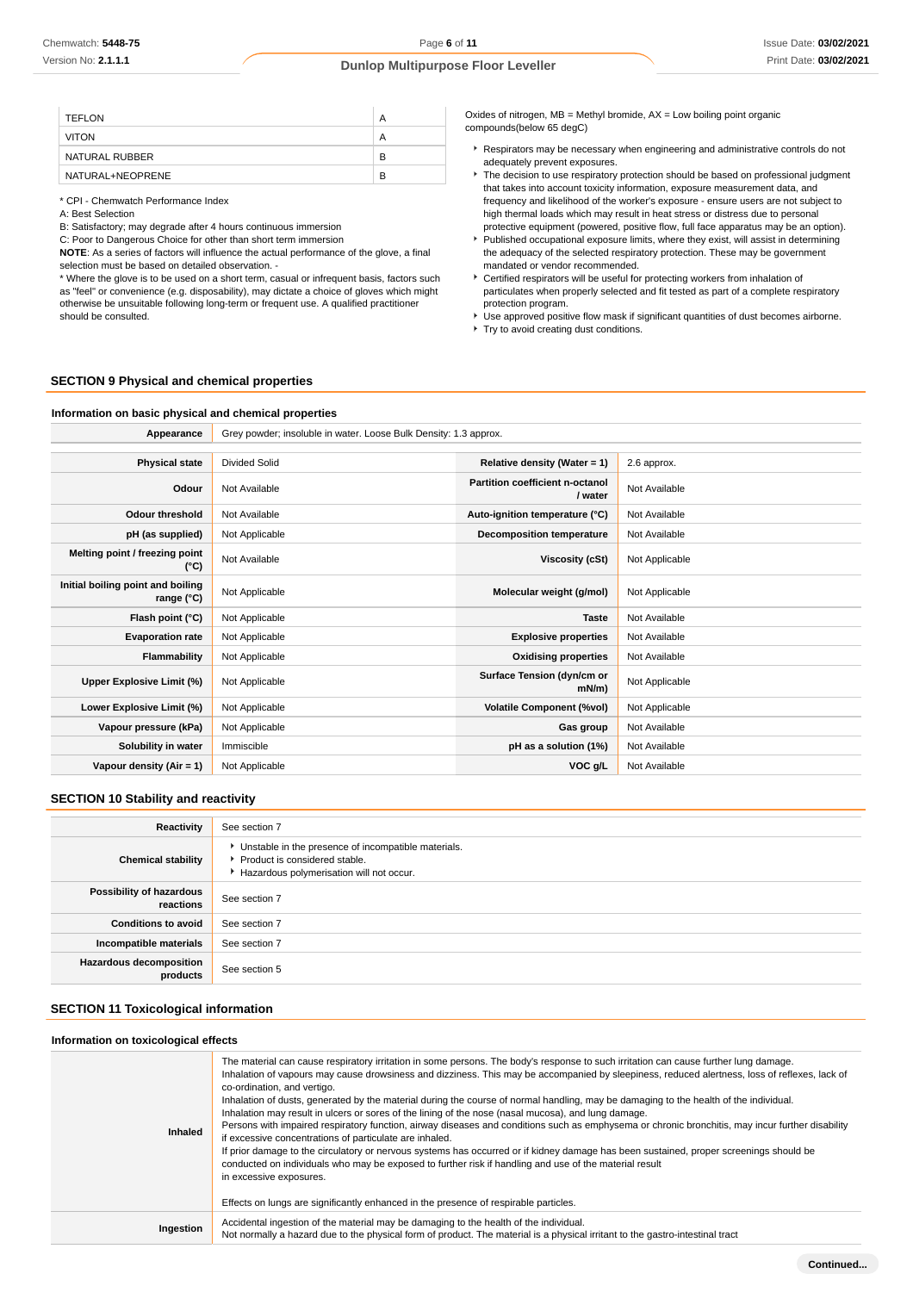| TEFLON           | А |
|------------------|---|
| <b>VITON</b>     | А |
| NATURAL RUBBER   | в |
| NATURAL+NEOPRENE | в |

\* CPI - Chemwatch Performance Index

A: Best Selection

B: Satisfactory; may degrade after 4 hours continuous immersion

C: Poor to Dangerous Choice for other than short term immersion

**NOTE**: As a series of factors will influence the actual performance of the glove, a final selection must be based on detailed observation. -

\* Where the glove is to be used on a short term, casual or infrequent basis, factors such as "feel" or convenience (e.g. disposability), may dictate a choice of gloves which might otherwise be unsuitable following long-term or frequent use. A qualified practitioner should be consulted.

Oxides of nitrogen,  $MB =$  Methyl bromide,  $AX =$  Low boiling point organic compounds(below 65 degC)

- Respirators may be necessary when engineering and administrative controls do not adequately prevent exposures.
- **The decision to use respiratory protection should be based on professional judgment** that takes into account toxicity information, exposure measurement data, and frequency and likelihood of the worker's exposure - ensure users are not subject to high thermal loads which may result in heat stress or distress due to personal
- protective equipment (powered, positive flow, full face apparatus may be an option). Published occupational exposure limits, where they exist, will assist in determining the adequacy of the selected respiratory protection. These may be government mandated or vendor recommended.
- Certified respirators will be useful for protecting workers from inhalation of particulates when properly selected and fit tested as part of a complete respiratory protection program.
- Use approved positive flow mask if significant quantities of dust becomes airborne.
- Try to avoid creating dust conditions.

#### **SECTION 9 Physical and chemical properties**

# **Information on basic physical and chemical properties**

| Appearance                                      | Grey powder; insoluble in water. Loose Bulk Density: 1.3 approx. |                                            |                |
|-------------------------------------------------|------------------------------------------------------------------|--------------------------------------------|----------------|
|                                                 |                                                                  |                                            |                |
| <b>Physical state</b>                           | <b>Divided Solid</b>                                             | Relative density (Water = 1)               | 2.6 approx.    |
| Odour                                           | Not Available                                                    | Partition coefficient n-octanol<br>/ water | Not Available  |
| <b>Odour threshold</b>                          | Not Available                                                    | Auto-ignition temperature (°C)             | Not Available  |
| pH (as supplied)                                | Not Applicable                                                   | <b>Decomposition temperature</b>           | Not Available  |
| Melting point / freezing point<br>(°C)          | Not Available                                                    | Viscosity (cSt)                            | Not Applicable |
| Initial boiling point and boiling<br>range (°C) | Not Applicable                                                   | Molecular weight (g/mol)                   | Not Applicable |
| Flash point (°C)                                | Not Applicable                                                   | <b>Taste</b>                               | Not Available  |
| <b>Evaporation rate</b>                         | Not Applicable                                                   | <b>Explosive properties</b>                | Not Available  |
| Flammability                                    | Not Applicable                                                   | <b>Oxidising properties</b>                | Not Available  |
| Upper Explosive Limit (%)                       | Not Applicable                                                   | Surface Tension (dyn/cm or<br>$mN/m$ )     | Not Applicable |
| Lower Explosive Limit (%)                       | Not Applicable                                                   | <b>Volatile Component (%vol)</b>           | Not Applicable |
| Vapour pressure (kPa)                           | Not Applicable                                                   | Gas group                                  | Not Available  |
| Solubility in water                             | Immiscible                                                       | pH as a solution (1%)                      | Not Available  |
| Vapour density (Air = 1)                        | Not Applicable                                                   | VOC g/L                                    | Not Available  |

#### **SECTION 10 Stability and reactivity**

| Reactivity                                 | See section 7                                                                                                                        |
|--------------------------------------------|--------------------------------------------------------------------------------------------------------------------------------------|
| <b>Chemical stability</b>                  | • Unstable in the presence of incompatible materials.<br>▶ Product is considered stable.<br>Hazardous polymerisation will not occur. |
| Possibility of hazardous<br>reactions      | See section 7                                                                                                                        |
| <b>Conditions to avoid</b>                 | See section 7                                                                                                                        |
| Incompatible materials                     | See section 7                                                                                                                        |
| <b>Hazardous decomposition</b><br>products | See section 5                                                                                                                        |

#### **SECTION 11 Toxicological information**

#### **Information on toxicological effects**

| Inhaled   | The material can cause respiratory irritation in some persons. The body's response to such irritation can cause further lung damage.<br>Inhalation of vapours may cause drowsiness and dizziness. This may be accompanied by sleepiness, reduced alertness, loss of reflexes, lack of<br>co-ordination, and vertigo.<br>Inhalation of dusts, generated by the material during the course of normal handling, may be damaging to the health of the individual.<br>Inhalation may result in ulcers or sores of the lining of the nose (nasal mucosa), and lung damage.<br>Persons with impaired respiratory function, airway diseases and conditions such as emphysema or chronic bronchitis, may incur further disability<br>if excessive concentrations of particulate are inhaled.<br>If prior damage to the circulatory or nervous systems has occurred or if kidney damage has been sustained, proper screenings should be<br>conducted on individuals who may be exposed to further risk if handling and use of the material result<br>in excessive exposures.<br>Effects on lungs are significantly enhanced in the presence of respirable particles. |
|-----------|------------------------------------------------------------------------------------------------------------------------------------------------------------------------------------------------------------------------------------------------------------------------------------------------------------------------------------------------------------------------------------------------------------------------------------------------------------------------------------------------------------------------------------------------------------------------------------------------------------------------------------------------------------------------------------------------------------------------------------------------------------------------------------------------------------------------------------------------------------------------------------------------------------------------------------------------------------------------------------------------------------------------------------------------------------------------------------------------------------------------------------------------------------|
| Ingestion | Accidental ingestion of the material may be damaging to the health of the individual.<br>Not normally a hazard due to the physical form of product. The material is a physical irritant to the gastro-intestinal tract                                                                                                                                                                                                                                                                                                                                                                                                                                                                                                                                                                                                                                                                                                                                                                                                                                                                                                                                     |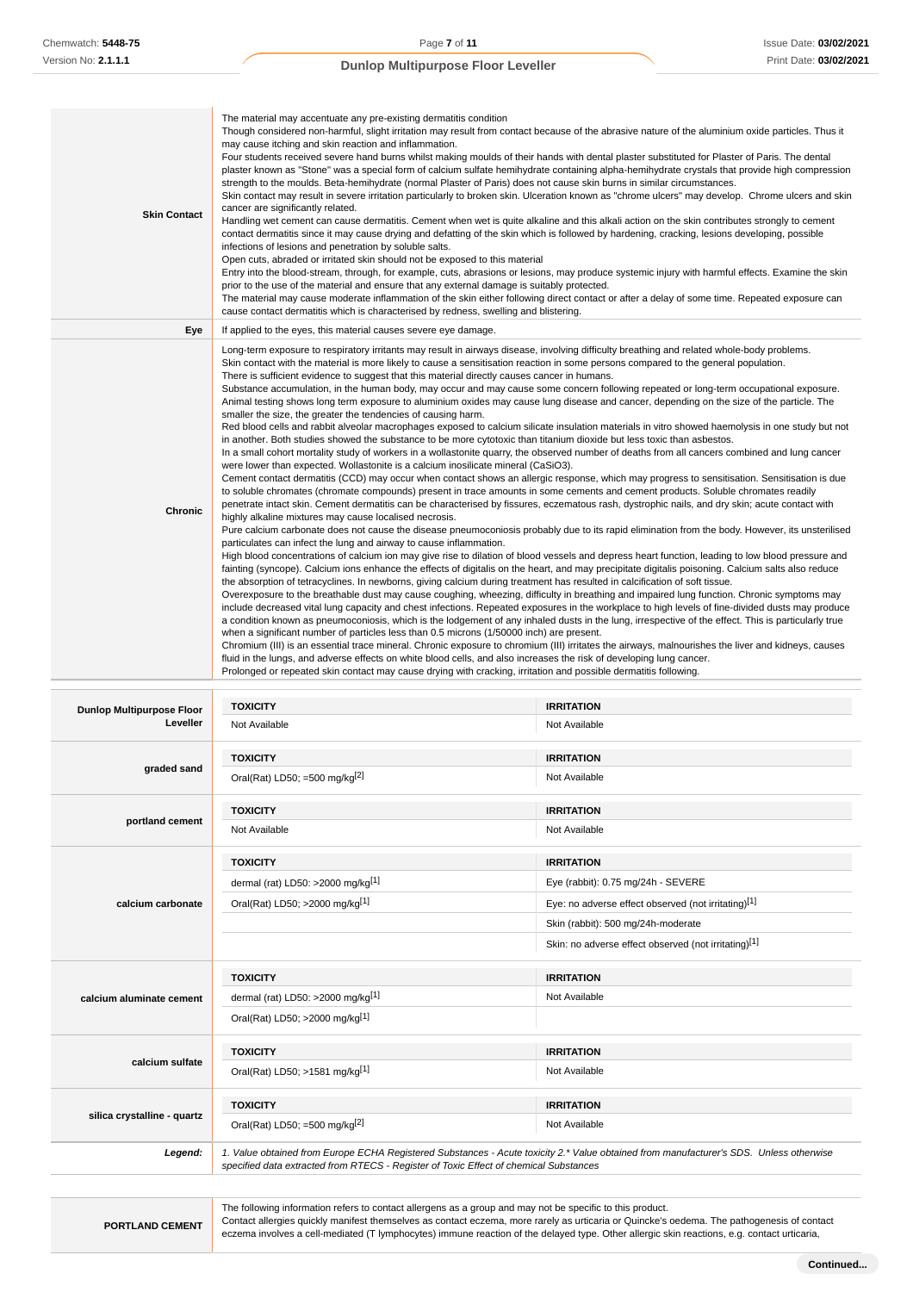| <b>Skin Contact</b> | The material may accentuate any pre-existing dermatitis condition<br>Though considered non-harmful, slight irritation may result from contact because of the abrasive nature of the aluminium oxide particles. Thus it<br>may cause itching and skin reaction and inflammation.<br>Four students received severe hand burns whilst making moulds of their hands with dental plaster substituted for Plaster of Paris. The dental<br>plaster known as "Stone" was a special form of calcium sulfate hemihydrate containing alpha-hemihydrate crystals that provide high compression<br>strength to the moulds. Beta-hemihydrate (normal Plaster of Paris) does not cause skin burns in similar circumstances.<br>Skin contact may result in severe irritation particularly to broken skin. Ulceration known as "chrome ulcers" may develop. Chrome ulcers and skin<br>cancer are significantly related.<br>Handling wet cement can cause dermatitis. Cement when wet is quite alkaline and this alkali action on the skin contributes strongly to cement<br>contact dermatitis since it may cause drying and defatting of the skin which is followed by hardening, cracking, lesions developing, possible<br>infections of lesions and penetration by soluble salts.<br>Open cuts, abraded or irritated skin should not be exposed to this material<br>Entry into the blood-stream, through, for example, cuts, abrasions or lesions, may produce systemic injury with harmful effects. Examine the skin<br>prior to the use of the material and ensure that any external damage is suitably protected.<br>The material may cause moderate inflammation of the skin either following direct contact or after a delay of some time. Repeated exposure can<br>cause contact dermatitis which is characterised by redness, swelling and blistering.                                                                                                                                                                                                                                                                                                                                                                                                                                                                                                                                                                                                                                                                                                                                                                                                                                                                                                                                                                                                                                                                                                                                                                                                                                                                                                                                                                                                                                                                                                                                           |
|---------------------|-------------------------------------------------------------------------------------------------------------------------------------------------------------------------------------------------------------------------------------------------------------------------------------------------------------------------------------------------------------------------------------------------------------------------------------------------------------------------------------------------------------------------------------------------------------------------------------------------------------------------------------------------------------------------------------------------------------------------------------------------------------------------------------------------------------------------------------------------------------------------------------------------------------------------------------------------------------------------------------------------------------------------------------------------------------------------------------------------------------------------------------------------------------------------------------------------------------------------------------------------------------------------------------------------------------------------------------------------------------------------------------------------------------------------------------------------------------------------------------------------------------------------------------------------------------------------------------------------------------------------------------------------------------------------------------------------------------------------------------------------------------------------------------------------------------------------------------------------------------------------------------------------------------------------------------------------------------------------------------------------------------------------------------------------------------------------------------------------------------------------------------------------------------------------------------------------------------------------------------------------------------------------------------------------------------------------------------------------------------------------------------------------------------------------------------------------------------------------------------------------------------------------------------------------------------------------------------------------------------------------------------------------------------------------------------------------------------------------------------------------------------------------------------------------------------------------------------------------------------------------------------------------------------------------------------------------------------------------------------------------------------------------------------------------------------------------------------------------------------------------------------------------------------------------------------------------------------------------------------------------------------------------------------------------------------------------------------------------------------------------------------------|
| Eye                 | If applied to the eyes, this material causes severe eye damage.                                                                                                                                                                                                                                                                                                                                                                                                                                                                                                                                                                                                                                                                                                                                                                                                                                                                                                                                                                                                                                                                                                                                                                                                                                                                                                                                                                                                                                                                                                                                                                                                                                                                                                                                                                                                                                                                                                                                                                                                                                                                                                                                                                                                                                                                                                                                                                                                                                                                                                                                                                                                                                                                                                                                                                                                                                                                                                                                                                                                                                                                                                                                                                                                                                                                                                                           |
| Chronic             | Long-term exposure to respiratory irritants may result in airways disease, involving difficulty breathing and related whole-body problems.<br>Skin contact with the material is more likely to cause a sensitisation reaction in some persons compared to the general population.<br>There is sufficient evidence to suggest that this material directly causes cancer in humans.<br>Substance accumulation, in the human body, may occur and may cause some concern following repeated or long-term occupational exposure.<br>Animal testing shows long term exposure to aluminium oxides may cause lung disease and cancer, depending on the size of the particle. The<br>smaller the size, the greater the tendencies of causing harm.<br>Red blood cells and rabbit alveolar macrophages exposed to calcium silicate insulation materials in vitro showed haemolysis in one study but not<br>in another. Both studies showed the substance to be more cytotoxic than titanium dioxide but less toxic than asbestos.<br>In a small cohort mortality study of workers in a wollastonite quarry, the observed number of deaths from all cancers combined and lung cancer<br>were lower than expected. Wollastonite is a calcium inosilicate mineral (CaSiO3).<br>Cement contact dermatitis (CCD) may occur when contact shows an allergic response, which may progress to sensitisation. Sensitisation is due<br>to soluble chromates (chromate compounds) present in trace amounts in some cements and cement products. Soluble chromates readily<br>penetrate intact skin. Cement dermatitis can be characterised by fissures, eczematous rash, dystrophic nails, and dry skin; acute contact with<br>highly alkaline mixtures may cause localised necrosis.<br>Pure calcium carbonate does not cause the disease pneumoconiosis probably due to its rapid elimination from the body. However, its unsterilised<br>particulates can infect the lung and airway to cause inflammation.<br>High blood concentrations of calcium ion may give rise to dilation of blood vessels and depress heart function, leading to low blood pressure and<br>fainting (syncope). Calcium ions enhance the effects of digitalis on the heart, and may precipitate digitalis poisoning. Calcium salts also reduce<br>the absorption of tetracyclines. In newborns, giving calcium during treatment has resulted in calcification of soft tissue.<br>Overexposure to the breathable dust may cause coughing, wheezing, difficulty in breathing and impaired lung function. Chronic symptoms may<br>include decreased vital lung capacity and chest infections. Repeated exposures in the workplace to high levels of fine-divided dusts may produce<br>a condition known as pneumoconiosis, which is the lodgement of any inhaled dusts in the lung, irrespective of the effect. This is particularly true<br>when a significant number of particles less than 0.5 microns (1/50000 inch) are present.<br>Chromium (III) is an essential trace mineral. Chronic exposure to chromium (III) irritates the airways, malnourishes the liver and kidneys, causes<br>fluid in the lungs, and adverse effects on white blood cells, and also increases the risk of developing lung cancer.<br>Prolonged or repeated skin contact may cause drying with cracking, irritation and possible dermatitis following. |

| <b>Dunlop Multipurpose Floor</b> | <b>TOXICITY</b>                               | <b>IRRITATION</b>                                                                                                                      |
|----------------------------------|-----------------------------------------------|----------------------------------------------------------------------------------------------------------------------------------------|
| Leveller                         | Not Available                                 | Not Available                                                                                                                          |
|                                  | <b>TOXICITY</b>                               | <b>IRRITATION</b>                                                                                                                      |
| graded sand                      | Oral(Rat) LD50; =500 mg/kg $[2]$              | Not Available                                                                                                                          |
|                                  | <b>TOXICITY</b>                               | <b>IRRITATION</b>                                                                                                                      |
| portland cement                  | Not Available                                 | Not Available                                                                                                                          |
|                                  | <b>TOXICITY</b>                               | <b>IRRITATION</b>                                                                                                                      |
|                                  | dermal (rat) LD50: >2000 mg/kg <sup>[1]</sup> | Eye (rabbit): 0.75 mg/24h - SEVERE                                                                                                     |
| calcium carbonate                | Oral(Rat) LD50; >2000 mg/kg[1]                | Eye: no adverse effect observed (not irritating)[1]                                                                                    |
|                                  |                                               | Skin (rabbit): 500 mg/24h-moderate                                                                                                     |
|                                  |                                               | Skin: no adverse effect observed (not irritating)[1]                                                                                   |
|                                  | <b>TOXICITY</b>                               | <b>IRRITATION</b>                                                                                                                      |
| calcium aluminate cement         | dermal (rat) LD50: >2000 mg/kg <sup>[1]</sup> | Not Available                                                                                                                          |
|                                  | Oral(Rat) LD50; >2000 mg/kg[1]                |                                                                                                                                        |
|                                  | <b>TOXICITY</b>                               | <b>IRRITATION</b>                                                                                                                      |
| calcium sulfate                  | Oral(Rat) LD50; >1581 mg/kg[1]                | Not Available                                                                                                                          |
|                                  | <b>TOXICITY</b>                               | <b>IRRITATION</b>                                                                                                                      |
| silica crystalline - quartz      | Oral(Rat) LD50; =500 mg/kg $[2]$              | Not Available                                                                                                                          |
| Legend:                          |                                               | 1. Value obtained from Europe ECHA Registered Substances - Acute toxicity 2.* Value obtained from manufacturer's SDS. Unless otherwise |

specified data extracted from RTECS - Register of Toxic Effect of chemical Substances

The following information refers to contact allergens as a group and may not be specific to this product. Contact allergies quickly manifest themselves as contact eczema, more rarely as urticaria or Quincke's oedema. The pathogenesis of contact eczema involves a cell-mediated (T lymphocytes) immune reaction of the delayed type. Other allergic skin reactions, e.g. contact urticaria,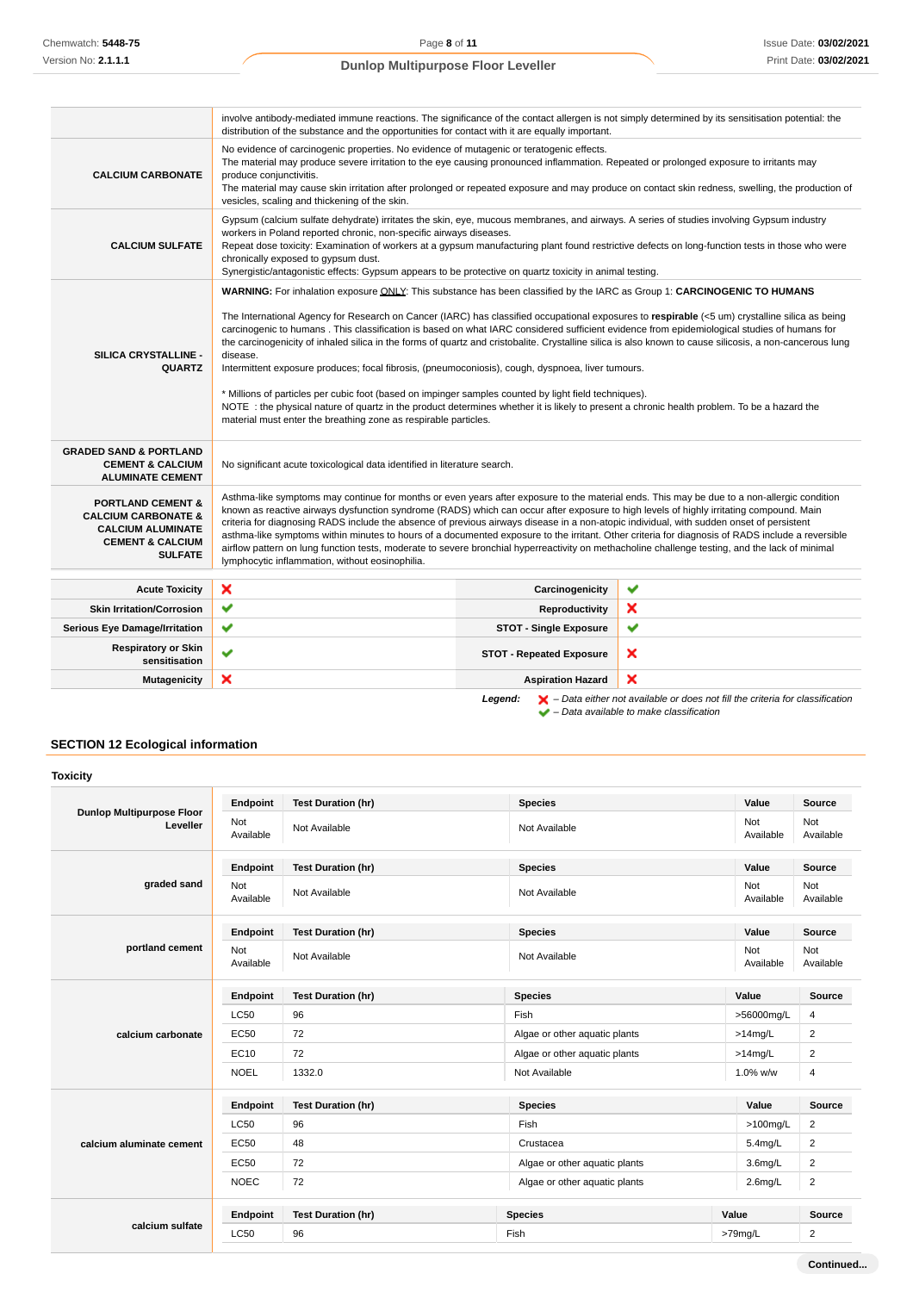|                                                                                                                                             | involve antibody-mediated immune reactions. The significance of the contact allergen is not simply determined by its sensitisation potential: the<br>distribution of the substance and the opportunities for contact with it are equally important.                                                                                                                                                                                                                                                                                                                                                                                                                                                                                                                                                                                                                  |                                 |                                                                                                                                                                     |
|---------------------------------------------------------------------------------------------------------------------------------------------|----------------------------------------------------------------------------------------------------------------------------------------------------------------------------------------------------------------------------------------------------------------------------------------------------------------------------------------------------------------------------------------------------------------------------------------------------------------------------------------------------------------------------------------------------------------------------------------------------------------------------------------------------------------------------------------------------------------------------------------------------------------------------------------------------------------------------------------------------------------------|---------------------------------|---------------------------------------------------------------------------------------------------------------------------------------------------------------------|
| <b>CALCIUM CARBONATE</b>                                                                                                                    | No evidence of carcinogenic properties. No evidence of mutagenic or teratogenic effects.<br>The material may produce severe irritation to the eye causing pronounced inflammation. Repeated or prolonged exposure to irritants may<br>produce conjunctivitis.<br>vesicles, scaling and thickening of the skin.                                                                                                                                                                                                                                                                                                                                                                                                                                                                                                                                                       |                                 | The material may cause skin irritation after prolonged or repeated exposure and may produce on contact skin redness, swelling, the production of                    |
| <b>CALCIUM SULFATE</b>                                                                                                                      | Gypsum (calcium sulfate dehydrate) irritates the skin, eye, mucous membranes, and airways. A series of studies involving Gypsum industry<br>workers in Poland reported chronic, non-specific airways diseases.<br>Repeat dose toxicity: Examination of workers at a gypsum manufacturing plant found restrictive defects on long-function tests in those who were<br>chronically exposed to gypsum dust.<br>Synergistic/antagonistic effects: Gypsum appears to be protective on quartz toxicity in animal testing.                                                                                                                                                                                                                                                                                                                                                  |                                 |                                                                                                                                                                     |
| SILICA CRYSTALLINE -<br><b>QUARTZ</b>                                                                                                       | WARNING: For inhalation exposure ONLY: This substance has been classified by the IARC as Group 1: CARCINOGENIC TO HUMANS<br>The International Agency for Research on Cancer (IARC) has classified occupational exposures to respirable (<5 um) crystalline silica as being<br>carcinogenic to humans. This classification is based on what IARC considered sufficient evidence from epidemiological studies of humans for<br>disease.<br>Intermittent exposure produces; focal fibrosis, (pneumoconiosis), cough, dyspnoea, liver tumours.<br>* Millions of particles per cubic foot (based on impinger samples counted by light field techniques).<br>NOTE: the physical nature of quartz in the product determines whether it is likely to present a chronic health problem. To be a hazard the<br>material must enter the breathing zone as respirable particles. |                                 | the carcinogenicity of inhaled silica in the forms of quartz and cristobalite. Crystalline silica is also known to cause silicosis, a non-cancerous lung            |
| <b>GRADED SAND &amp; PORTLAND</b><br><b>CEMENT &amp; CALCIUM</b><br><b>ALUMINATE CEMENT</b>                                                 | No significant acute toxicological data identified in literature search.                                                                                                                                                                                                                                                                                                                                                                                                                                                                                                                                                                                                                                                                                                                                                                                             |                                 |                                                                                                                                                                     |
| <b>PORTLAND CEMENT &amp;</b><br><b>CALCIUM CARBONATE &amp;</b><br><b>CALCIUM ALUMINATE</b><br><b>CEMENT &amp; CALCIUM</b><br><b>SULFATE</b> | Asthma-like symptoms may continue for months or even years after exposure to the material ends. This may be due to a non-allergic condition<br>known as reactive airways dysfunction syndrome (RADS) which can occur after exposure to high levels of highly irritating compound. Main<br>criteria for diagnosing RADS include the absence of previous airways disease in a non-atopic individual, with sudden onset of persistent<br>asthma-like symptoms within minutes to hours of a documented exposure to the irritant. Other criteria for diagnosis of RADS include a reversible<br>airflow pattern on lung function tests, moderate to severe bronchial hyperreactivity on methacholine challenge testing, and the lack of minimal<br>lymphocytic inflammation, without eosinophilia.                                                                         |                                 |                                                                                                                                                                     |
| <b>Acute Toxicity</b>                                                                                                                       | ×                                                                                                                                                                                                                                                                                                                                                                                                                                                                                                                                                                                                                                                                                                                                                                                                                                                                    | Carcinogenicity                 | ✔                                                                                                                                                                   |
| <b>Skin Irritation/Corrosion</b>                                                                                                            | ✔                                                                                                                                                                                                                                                                                                                                                                                                                                                                                                                                                                                                                                                                                                                                                                                                                                                                    | Reproductivity                  | ×                                                                                                                                                                   |
| <b>Serious Eye Damage/Irritation</b>                                                                                                        | ✔                                                                                                                                                                                                                                                                                                                                                                                                                                                                                                                                                                                                                                                                                                                                                                                                                                                                    | <b>STOT - Single Exposure</b>   | ✔                                                                                                                                                                   |
| <b>Respiratory or Skin</b><br>sensitisation                                                                                                 | $\checkmark$                                                                                                                                                                                                                                                                                                                                                                                                                                                                                                                                                                                                                                                                                                                                                                                                                                                         | <b>STOT - Repeated Exposure</b> | ×                                                                                                                                                                   |
| Mutagenicity                                                                                                                                | ×                                                                                                                                                                                                                                                                                                                                                                                                                                                                                                                                                                                                                                                                                                                                                                                                                                                                    | <b>Aspiration Hazard</b>        | ×                                                                                                                                                                   |
|                                                                                                                                             |                                                                                                                                                                                                                                                                                                                                                                                                                                                                                                                                                                                                                                                                                                                                                                                                                                                                      | Legend:                         | $\blacktriangleright$ - Data either not available or does not fill the criteria for classification<br>$\blacktriangleright$ - Data available to make classification |

## **SECTION 12 Ecological information**

|                                              | Endpoint         | <b>Test Duration (hr)</b> | <b>Species</b>                | Value            | <b>Source</b>    |
|----------------------------------------------|------------------|---------------------------|-------------------------------|------------------|------------------|
| <b>Dunlop Multipurpose Floor</b><br>Leveller | Not<br>Available | Not Available             | Not Available                 | Not<br>Available | Not<br>Available |
|                                              | Endpoint         | <b>Test Duration (hr)</b> | <b>Species</b>                | Value            | Source           |
| graded sand                                  | Not<br>Available | Not Available             | Not Available                 | Not<br>Available | Not<br>Available |
|                                              | Endpoint         | <b>Test Duration (hr)</b> | <b>Species</b>                | Value            | Source           |
| portland cement                              | Not<br>Available | Not Available             | Not Available                 | Not<br>Available | Not<br>Available |
|                                              | Endpoint         | <b>Test Duration (hr)</b> | <b>Species</b>                | Value            | <b>Source</b>    |
|                                              | <b>LC50</b>      | 96                        | Fish                          | >56000mg/L       | 4                |
| calcium carbonate                            | EC50             | 72                        | Algae or other aquatic plants | $>14$ mg/L       | $\overline{2}$   |
|                                              | EC10             | 72                        | Algae or other aquatic plants | $>14$ mg/L       | $\overline{2}$   |
|                                              | <b>NOEL</b>      | 1332.0                    | Not Available                 | 1.0% w/w         | 4                |
|                                              | Endpoint         | <b>Test Duration (hr)</b> | <b>Species</b>                | Value            | Source           |
|                                              | <b>LC50</b>      | 96                        | Fish                          | $>100$ mg/L      | $\overline{2}$   |
| calcium aluminate cement                     | <b>EC50</b>      | 48                        | Crustacea                     | $5.4$ mg/L       | 2                |
|                                              | <b>EC50</b>      | 72                        | Algae or other aquatic plants | $3.6$ mg/L       | $\overline{2}$   |
|                                              | <b>NOEC</b>      | 72                        | Algae or other aquatic plants | $2.6$ mg/L       | $\overline{2}$   |
|                                              | Endpoint         | <b>Test Duration (hr)</b> | <b>Species</b>                | Value            | <b>Source</b>    |
| calcium sulfate                              | <b>LC50</b>      | 96                        | Fish                          | >79mg/L          | $\overline{2}$   |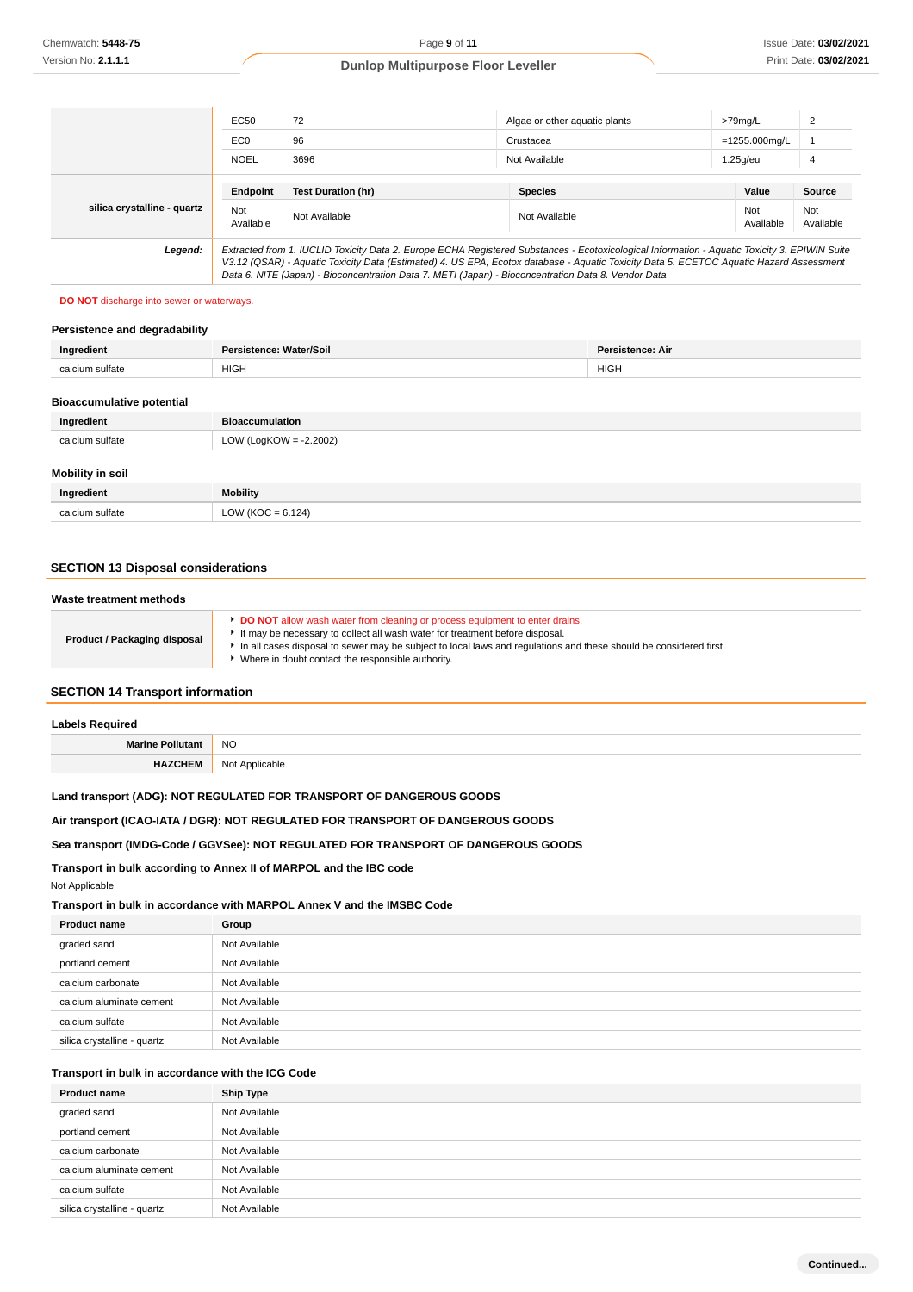|                             | EC50             | 72                                                                                                  | Algae or other aguatic plants                                                                                                                                                                                                                                                            | >79mg/L          | 2                |
|-----------------------------|------------------|-----------------------------------------------------------------------------------------------------|------------------------------------------------------------------------------------------------------------------------------------------------------------------------------------------------------------------------------------------------------------------------------------------|------------------|------------------|
|                             | EC <sub>0</sub>  | 96                                                                                                  | Crustacea                                                                                                                                                                                                                                                                                | $=1255.000$ ma/L |                  |
|                             | <b>NOEL</b>      | 3696                                                                                                | Not Available                                                                                                                                                                                                                                                                            | $1.25q$ /eu      | 4                |
|                             | Endpoint         | <b>Test Duration (hr)</b>                                                                           | <b>Species</b>                                                                                                                                                                                                                                                                           | Value            | <b>Source</b>    |
| silica crystalline - quartz | Not<br>Available | Not Available                                                                                       | Not Available                                                                                                                                                                                                                                                                            | Not<br>Available | Not<br>Available |
| Legend:                     |                  | Data 6. NITE (Japan) - Bioconcentration Data 7. METI (Japan) - Bioconcentration Data 8. Vendor Data | Extracted from 1. IUCLID Toxicity Data 2. Europe ECHA Registered Substances - Ecotoxicological Information - Aquatic Toxicity 3. EPIWIN Suite<br>V3.12 (QSAR) - Aquatic Toxicity Data (Estimated) 4. US EPA, Ecotox database - Aquatic Toxicity Data 5. ECETOC Aquatic Hazard Assessment |                  |                  |

#### **DO NOT** discharge into sewer or waterways.

## **Persistence and degradability**

| Ingredient                       | Persistence: Water/Soil   | Persistence: Air |  |
|----------------------------------|---------------------------|------------------|--|
| calcium sulfate                  | <b>HIGH</b>               | <b>HIGH</b>      |  |
|                                  |                           |                  |  |
| <b>Bioaccumulative potential</b> |                           |                  |  |
| Ingredient                       | <b>Bioaccumulation</b>    |                  |  |
| calcium sulfate                  | LOW (LogKOW = $-2.2002$ ) |                  |  |
| <b>Mobility in soil</b>          |                           |                  |  |
| Ingredient                       | <b>Mobility</b>           |                  |  |
| calcium sulfate                  | LOW ( $KOC = 6.124$ )     |                  |  |

#### **SECTION 13 Disposal considerations**

| Waste treatment methods             |                                                                                                                                                                                                                                                                                                                                              |
|-------------------------------------|----------------------------------------------------------------------------------------------------------------------------------------------------------------------------------------------------------------------------------------------------------------------------------------------------------------------------------------------|
| <b>Product / Packaging disposal</b> | <b>DO NOT</b> allow wash water from cleaning or process equipment to enter drains.<br>It may be necessary to collect all wash water for treatment before disposal.<br>In all cases disposal to sewer may be subject to local laws and regulations and these should be considered first.<br>Where in doubt contact the responsible authority. |

#### **SECTION 14 Transport information**

| <b>Labels Required</b> |                |
|------------------------|----------------|
|                        | <b>NO</b>      |
| <b>HAZCHEM</b>         | Not Applicable |

### **Land transport (ADG): NOT REGULATED FOR TRANSPORT OF DANGEROUS GOODS**

**Air transport (ICAO-IATA / DGR): NOT REGULATED FOR TRANSPORT OF DANGEROUS GOODS**

#### **Sea transport (IMDG-Code / GGVSee): NOT REGULATED FOR TRANSPORT OF DANGEROUS GOODS**

**Transport in bulk according to Annex II of MARPOL and the IBC code**

Not Applicable

**Transport in bulk in accordance with MARPOL Annex V and the IMSBC Code**

| <b>Product name</b>         | Group         |
|-----------------------------|---------------|
| graded sand                 | Not Available |
| portland cement             | Not Available |
| calcium carbonate           | Not Available |
| calcium aluminate cement    | Not Available |
| calcium sulfate             | Not Available |
| silica crystalline - quartz | Not Available |

#### **Transport in bulk in accordance with the ICG Code**

| <b>Product name</b>         | Ship Type     |
|-----------------------------|---------------|
| graded sand                 | Not Available |
| portland cement             | Not Available |
| calcium carbonate           | Not Available |
| calcium aluminate cement    | Not Available |
| calcium sulfate             | Not Available |
| silica crystalline - quartz | Not Available |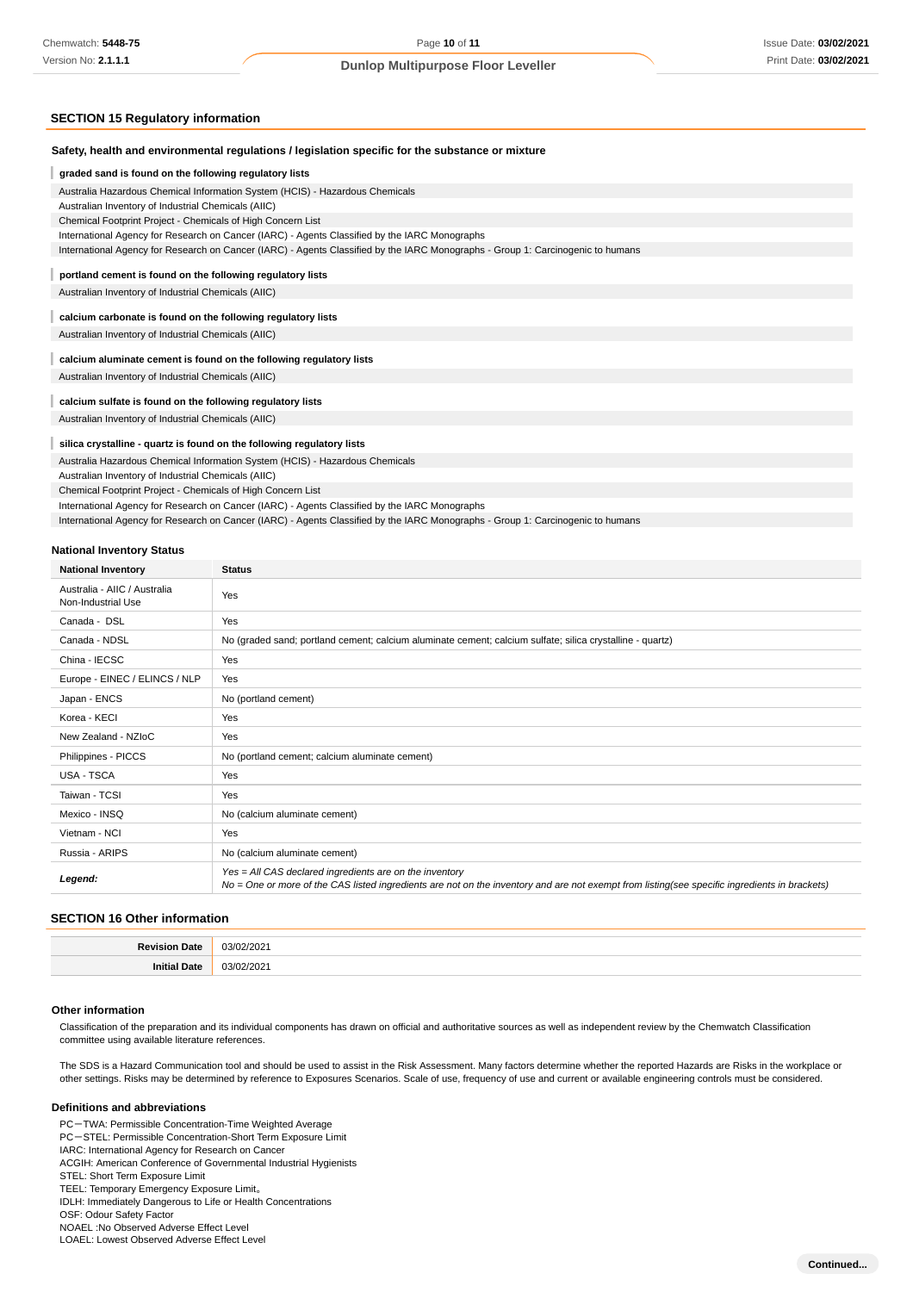### **SECTION 15 Regulatory information**

| Safety, health and environmental regulations / legislation specific for the substance or mixture                                |
|---------------------------------------------------------------------------------------------------------------------------------|
| graded sand is found on the following regulatory lists                                                                          |
| Australia Hazardous Chemical Information System (HCIS) - Hazardous Chemicals                                                    |
| Australian Inventory of Industrial Chemicals (AIIC)                                                                             |
| Chemical Footprint Project - Chemicals of High Concern List                                                                     |
| International Agency for Research on Cancer (IARC) - Agents Classified by the IARC Monographs                                   |
| International Agency for Research on Cancer (IARC) - Agents Classified by the IARC Monographs - Group 1: Carcinogenic to humans |
| portland cement is found on the following regulatory lists                                                                      |
| Australian Inventory of Industrial Chemicals (AIIC)                                                                             |
| calcium carbonate is found on the following regulatory lists                                                                    |
| Australian Inventory of Industrial Chemicals (AIIC)                                                                             |
| calcium aluminate cement is found on the following regulatory lists                                                             |
| Australian Inventory of Industrial Chemicals (AIIC)                                                                             |
| calcium sulfate is found on the following regulatory lists                                                                      |
| Australian Inventory of Industrial Chemicals (AIIC)                                                                             |
| silica crystalline - quartz is found on the following regulatory lists                                                          |
| Australia Hazardous Chemical Information System (HCIS) - Hazardous Chemicals                                                    |
| Australian Inventory of Industrial Chemicals (AIIC)                                                                             |
| Chemical Footprint Project - Chemicals of High Concern List                                                                     |
| International Agency for Research on Cancer (IARC) - Agents Classified by the IARC Monographs                                   |
| International Agency for Research on Cancer (IARC) - Agents Classified by the IARC Monographs - Group 1: Carcinogenic to humans |
| <b>National Inventory Status</b>                                                                                                |

| <b>National Inventory</b>                          | <b>Status</b>                                                                                                                                                                                            |
|----------------------------------------------------|----------------------------------------------------------------------------------------------------------------------------------------------------------------------------------------------------------|
| Australia - AIIC / Australia<br>Non-Industrial Use | Yes                                                                                                                                                                                                      |
| Canada - DSL                                       | Yes                                                                                                                                                                                                      |
| Canada - NDSL                                      | No (graded sand; portland cement; calcium aluminate cement; calcium sulfate; silica crystalline - quartz)                                                                                                |
| China - IECSC                                      | Yes                                                                                                                                                                                                      |
| Europe - EINEC / ELINCS / NLP                      | Yes                                                                                                                                                                                                      |
| Japan - ENCS                                       | No (portland cement)                                                                                                                                                                                     |
| Korea - KECI                                       | Yes                                                                                                                                                                                                      |
| New Zealand - NZIoC                                | Yes                                                                                                                                                                                                      |
| Philippines - PICCS                                | No (portland cement; calcium aluminate cement)                                                                                                                                                           |
| USA - TSCA                                         | Yes                                                                                                                                                                                                      |
| Taiwan - TCSI                                      | Yes                                                                                                                                                                                                      |
| Mexico - INSQ                                      | No (calcium aluminate cement)                                                                                                                                                                            |
| Vietnam - NCI                                      | Yes                                                                                                                                                                                                      |
| Russia - ARIPS                                     | No (calcium aluminate cement)                                                                                                                                                                            |
| Legend:                                            | Yes = All CAS declared ingredients are on the inventory<br>No = One or more of the CAS listed ingredients are not on the inventory and are not exempt from listing(see specific ingredients in brackets) |

## **SECTION 16 Other information**

| $\sim$ | nn. |
|--------|-----|
|        | ה ה |

#### **Other information**

Classification of the preparation and its individual components has drawn on official and authoritative sources as well as independent review by the Chemwatch Classification committee using available literature references.

The SDS is a Hazard Communication tool and should be used to assist in the Risk Assessment. Many factors determine whether the reported Hazards are Risks in the workplace or other settings. Risks may be determined by reference to Exposures Scenarios. Scale of use, frequency of use and current or available engineering controls must be considered.

#### **Definitions and abbreviations**

PC-TWA: Permissible Concentration-Time Weighted Average

PC-STEL: Permissible Concentration-Short Term Exposure Limit

IARC: International Agency for Research on Cancer

ACGIH: American Conference of Governmental Industrial Hygienists

STEL: Short Term Exposure Limit

TEEL: Temporary Emergency Exposure Limit。

IDLH: Immediately Dangerous to Life or Health Concentrations

OSF: Odour Safety Factor

NOAEL :No Observed Adverse Effect Level LOAEL: Lowest Observed Adverse Effect Level